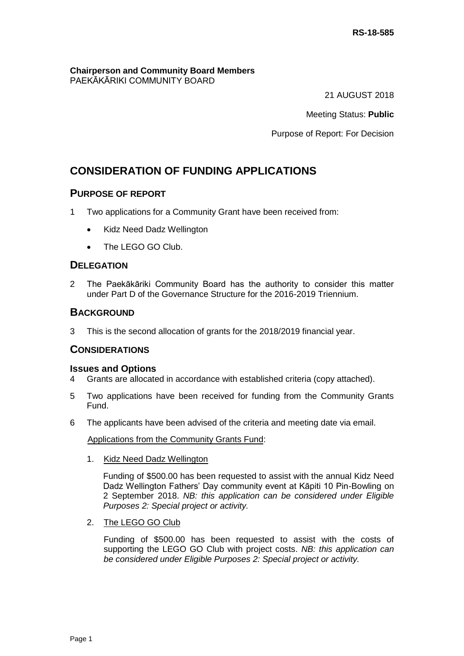#### **Chairperson and Community Board Members** PAEKĀKĀRIKI COMMUNITY BOARD

21 AUGUST 2018

Meeting Status: **Public**

Purpose of Report: For Decision

# **CONSIDERATION OF FUNDING APPLICATIONS**

## **PURPOSE OF REPORT**

- 1 Two applications for a Community Grant have been received from:
	- Kidz Need Dadz Wellington
	- The LEGO GO Club.

## **DELEGATION**

2 The Paekākāriki Community Board has the authority to consider this matter under Part D of the Governance Structure for the 2016-2019 Triennium.

## **BACKGROUND**

3 This is the second allocation of grants for the 2018/2019 financial year.

## **CONSIDERATIONS**

### **Issues and Options**

- 4 Grants are allocated in accordance with established criteria (copy attached).
- 5 Two applications have been received for funding from the Community Grants Fund.
- 6 The applicants have been advised of the criteria and meeting date via email.

Applications from the Community Grants Fund:

1. Kidz Need Dadz Wellington

Funding of \$500.00 has been requested to assist with the annual Kidz Need Dadz Wellington Fathers' Day community event at Kāpiti 10 Pin-Bowling on 2 September 2018. *NB: this application can be considered under Eligible Purposes 2: Special project or activity.*

2. The LEGO GO Club

Funding of \$500.00 has been requested to assist with the costs of supporting the LEGO GO Club with project costs. *NB: this application can be considered under Eligible Purposes 2: Special project or activity.*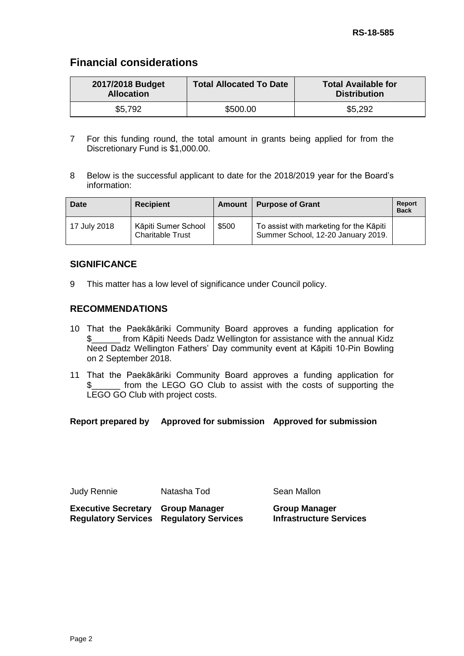# **Financial considerations**

| 2017/2018 Budget<br><b>Allocation</b> | <b>Total Allocated To Date</b> | <b>Total Available for</b><br><b>Distribution</b> |
|---------------------------------------|--------------------------------|---------------------------------------------------|
| \$5,792                               | \$500.00                       | \$5,292                                           |

- 7 For this funding round, the total amount in grants being applied for from the Discretionary Fund is \$1,000.00.
- 8 Below is the successful applicant to date for the 2018/2019 year for the Board's information:

| <b>Date</b>  | <b>Recipient</b>                               | <b>Amount</b> | <b>Purpose of Grant</b>                                                       | <b>Report</b><br><b>Back</b> |
|--------------|------------------------------------------------|---------------|-------------------------------------------------------------------------------|------------------------------|
| 17 July 2018 | Kāpiti Sumer School<br><b>Charitable Trust</b> | \$500         | To assist with marketing for the Kāpiti<br>Summer School, 12-20 January 2019. |                              |

## **SIGNIFICANCE**

9 This matter has a low level of significance under Council policy.

## **RECOMMENDATIONS**

- 10 That the Paekākāriki Community Board approves a funding application for \$\_\_\_\_\_\_ from Kāpiti Needs Dadz Wellington for assistance with the annual Kidz Need Dadz Wellington Fathers' Day community event at Kāpiti 10-Pin Bowling on 2 September 2018.
- 11 That the Paekākāriki Community Board approves a funding application for \$\_\_\_\_\_\_ from the LEGO GO Club to assist with the costs of supporting the LEGO GO Club with project costs.

**Report prepared by Approved for submission Approved for submission**

Judy Rennie Natasha Tod Sean Mallon

**Executive Secretary Group Manager Regulatory Services Regulatory Services** **Group Manager Infrastructure Services**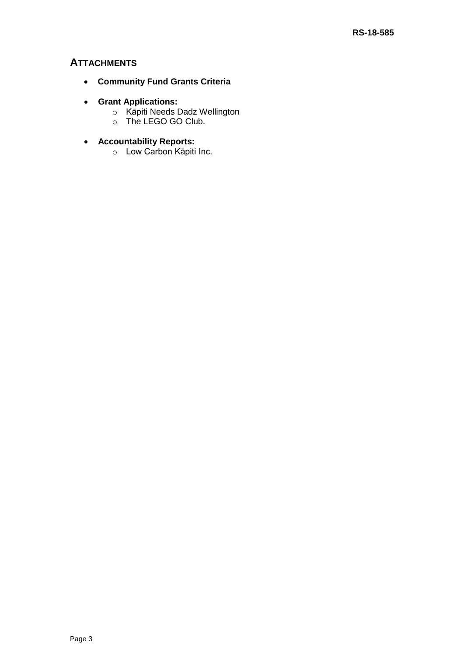## **ATTACHMENTS**

- **Community Fund Grants Criteria**
- **Grant Applications:**
	- o Kāpiti Needs Dadz Wellington
	- o The LEGO GO Club.
- **Accountability Reports:**
	- o Low Carbon Kāpiti Inc.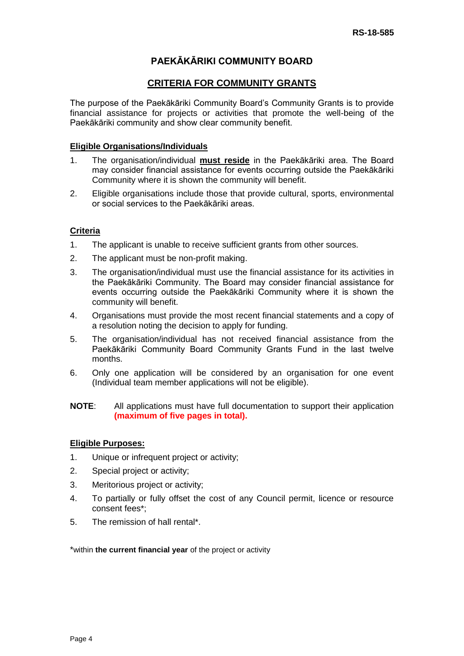# **PAEKĀKĀRIKI COMMUNITY BOARD**

## **CRITERIA FOR COMMUNITY GRANTS**

The purpose of the Paekākāriki Community Board's Community Grants is to provide financial assistance for projects or activities that promote the well-being of the Paekākāriki community and show clear community benefit.

### **Eligible Organisations/Individuals**

- 1. The organisation/individual **must reside** in the Paekākāriki area. The Board may consider financial assistance for events occurring outside the Paekākāriki Community where it is shown the community will benefit.
- 2. Eligible organisations include those that provide cultural, sports, environmental or social services to the Paekākāriki areas.

### **Criteria**

- 1. The applicant is unable to receive sufficient grants from other sources.
- 2. The applicant must be non-profit making.
- 3. The organisation/individual must use the financial assistance for its activities in the Paekākāriki Community. The Board may consider financial assistance for events occurring outside the Paekākāriki Community where it is shown the community will benefit.
- 4. Organisations must provide the most recent financial statements and a copy of a resolution noting the decision to apply for funding.
- 5. The organisation/individual has not received financial assistance from the Paekākāriki Community Board Community Grants Fund in the last twelve months.
- 6. Only one application will be considered by an organisation for one event (Individual team member applications will not be eligible).

#### **NOTE**: All applications must have full documentation to support their application **(maximum of five pages in total).**

### **Eligible Purposes:**

- 1. Unique or infrequent project or activity;
- 2. Special project or activity;
- 3. Meritorious project or activity;
- 4. To partially or fully offset the cost of any Council permit, licence or resource consent fees\*;
- 5. The remission of hall rental\*.

\*within **the current financial year** of the project or activity